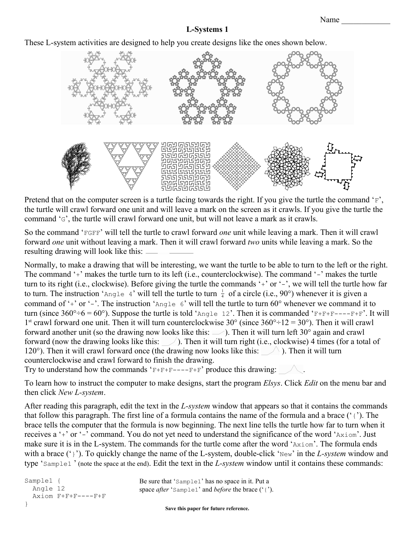These L-system activities are designed to help you create designs like the ones shown below.



Pretend that on the computer screen is a turtle facing towards the right. If you give the turtle the command 'F', the turtle will crawl forward one unit and will leave a mark on the screen as it crawls. If you give the turtle the command 'G', the turtle will crawl forward one unit, but will not leave a mark as it crawls.

So the command 'FGFF' will tell the turtle to crawl forward *one* unit while leaving a mark. Then it will crawl forward *one* unit without leaving a mark. Then it will crawl forward *two* units while leaving a mark. So the resulting drawing will look like this:

Normally, to make a drawing that will be interesting, we want the turtle to be able to turn to the left or the right. The command '+' makes the turtle turn to its left (i.e., counterclockwise). The command '-' makes the turtle turn to its right (i.e., clockwise). Before giving the turtle the commands '+' or '-', we will tell the turtle how far to turn. The instruction 'Angle 4' will tell the turtle to turn  $\frac{1}{4}$  of a circle (i.e., 90°) whenever it is given a command of '+' or '-'. The instruction 'Angle 6' will tell the turtle to turn 60° whenever we command it to turn (since  $360^{\circ} \div 6 = 60^{\circ}$ ). Suppose the turtle is told 'Angle 12'. Then it is commanded 'F+F+F----F+F'. It will 1<sup>st</sup> crawl forward one unit. Then it will turn counterclockwise 30° (since  $360^{\circ} \div 12 = 30^{\circ}$ ). Then it will crawl forward another unit (so the drawing now looks like this:  $\Box$ ). Then it will turn left 30° again and crawl forward (now the drawing looks like this:  $\Box$ ). Then it will turn right (i.e., clockwise) 4 times (for a total of 120°). Then it will crawl forward once (the drawing now looks like this:  $\Diamond$ ). Then it will turn counterclockwise and crawl forward to finish the drawing.

Try to understand how the commands ' $F + F + F - - -F + F'$  produce this drawing:  $\sim$ .

To learn how to instruct the computer to make designs, start the program *Elsys*. Click *Edit* on the menu bar and then click *New L-system*.

After reading this paragraph, edit the text in the *L-system* window that appears so that it contains the commands that follow this paragraph. The first line of a formula contains the name of the formula and a brace ('{'). The brace tells the computer that the formula is now beginning. The next line tells the turtle how far to turn when it receives a '+' or '-' command. You do not yet need to understand the significance of the word 'Axiom'. Just make sure it is in the L-system. The commands for the turtle come after the word 'Axiom'. The formula ends with a brace (')'). To quickly change the name of the L-system, double-click 'New' in the *L-system* window and type 'Sample1 ' (note the space at the end). Edit the text in the *L-system* window until it contains these commands: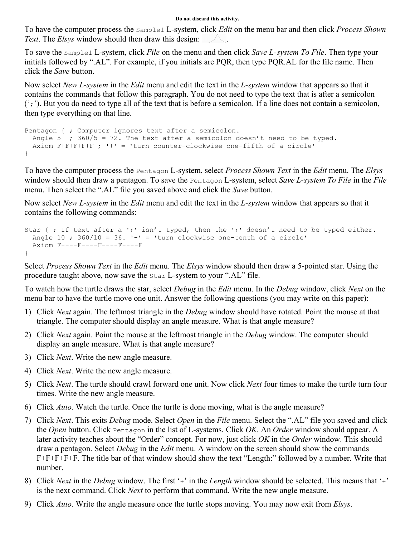#### **Do not discard this activity.**

To have the computer process the Sample1 L-system, click *Edit* on the menu bar and then click *Process Shown Text*. The *Elsys* window should then draw this design:

To save the Sample1 L-system, click *File* on the menu and then click *Save L-system To File*. Then type your initials followed by ".AL". For example, if you initials are PQR, then type PQR.AL for the file name. Then click the *Save* button.

Now select *New L-system* in the *Edit* menu and edit the text in the *L-system* window that appears so that it contains the commands that follow this paragraph. You do not need to type the text that is after a semicolon  $'$ ; '). But you do need to type all of the text that is before a semicolon. If a line does not contain a semicolon, then type everything on that line.

```
Pentagon { ; Computer ignores text after a semicolon.
 Angle 5 ; 360/5 = 72. The text after a semicolon doesn't need to be typed.
  Axiom F+F+F+F+F ; '+' = 'turn counter-clockwise one-fifth of a circle'
}
```
To have the computer process the Pentagon L-system, select *Process Shown Text* in the *Edit* menu. The *Elsys* window should then draw a pentagon. To save the Pentagon L-system, select *Save L-system To File* in the *File* menu. Then select the ".AL" file you saved above and click the *Save* button.

Now select *New L-system* in the *Edit* menu and edit the text in the *L-system* window that appears so that it contains the following commands:

```
Star { ; If text after a ';' isn't typed, then the ';' doesn't need to be typed either.
 Angle 10 ; 360/10 = 36. '-' = 'turn clockwise one-tenth of a circle'
  Axiom F----F----F----F----F
}
```
Select *Process Shown Text* in the *Edit* menu. The *Elsys* window should then draw a 5-pointed star. Using the procedure taught above, now save the Star L-system to your ".AL" file.

To watch how the turtle draws the star, select *Debug* in the *Edit* menu. In the *Debug* window, click *Next* on the menu bar to have the turtle move one unit. Answer the following questions (you may write on this paper):

- 1) Click *Next* again. The leftmost triangle in the *Debug* window should have rotated. Point the mouse at that triangle. The computer should display an angle measure. What is that angle measure?
- 2) Click *Next* again. Point the mouse at the leftmost triangle in the *Debug* window. The computer should display an angle measure. What is that angle measure?
- 3) Click *Next*. Write the new angle measure.
- 4) Click *Next*. Write the new angle measure.
- 5) Click *Next*. The turtle should crawl forward one unit. Now click *Next* four times to make the turtle turn four times. Write the new angle measure.
- 6) Click *Auto*. Watch the turtle. Once the turtle is done moving, what is the angle measure?
- 7) Click *Next*. This exits *Debug* mode. Select *Open* in the *File* menu. Select the ".AL" file you saved and click the *Open* button. Click Pentagon in the list of L-systems. Click *OK*. An *Order* window should appear. A later activity teaches about the "Order" concept. For now, just click *OK* in the *Order* window. This should draw a pentagon. Select *Debug* in the *Edit* menu. A window on the screen should show the commands F+F+F+F+F. The title bar of that window should show the text "Length:" followed by a number. Write that number.
- 8) Click *Next* in the *Debug* window. The first '+' in the *Length* window should be selected. This means that '+' is the next command. Click *Next* to perform that command. Write the new angle measure.
- 9) Click *Auto*. Write the angle measure once the turtle stops moving. You may now exit from *Elsys*.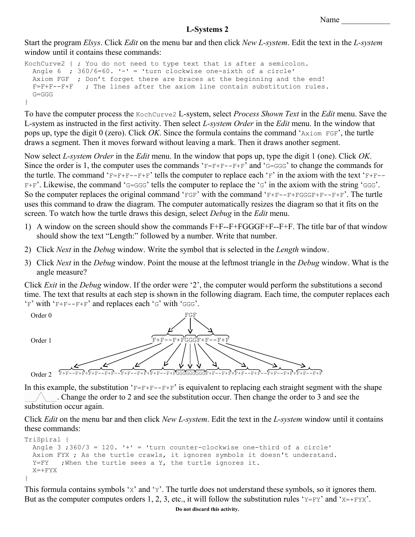Start the program *Elsys*. Click *Edit* on the menu bar and then click *New L-system*. Edit the text in the *L-system* window until it contains these commands:

```
KochCurve2 { ; You do not need to type text that is after a semicolon.
 Angle 6 ; 360/6=60. 1-i = 'turn clockwise one-sixth of a circle'
 Axiom FGF ; Don't forget there are braces at the beginning and the end!
   F=F+F--F+F ; The lines after the axiom line contain substitution rules.
   G=GGG
}
```
To have the computer process the KochCurve2 L-system, select *Process Shown Text* in the *Edit* menu. Save the L-system as instructed in the first activity. Then select *L-system Order* in the *Edit* menu. In the window that pops up, type the digit 0 (zero). Click *OK*. Since the formula contains the command 'Axiom FGF', the turtle draws a segment. Then it moves forward without leaving a mark. Then it draws another segment.

Now select *L-system Order* in the *Edit* menu. In the window that pops up, type the digit 1 (one). Click *OK*. Since the order is 1, the computer uses the commands ' $F=F+F--F+F'$  and ' $G=GGG'$ ' to change the commands for the turtle. The command 'F=F+F--F+F' tells the computer to replace each 'F' in the axiom with the text 'F+F-- $F+F'$ . Likewise, the command 'G=GGG' tells the computer to replace the 'G' in the axiom with the string 'GGG'. So the computer replaces the original command ' $FGF'$  with the command ' $F+F--F+FGGGF+F--F+F'$ . The turtle uses this command to draw the diagram. The computer automatically resizes the diagram so that it fits on the screen. To watch how the turtle draws this design, select *Debug* in the *Edit* menu.

- 1) A window on the screen should show the commands F+F--F+FGGGF+F--F+F. The title bar of that window should show the text "Length:" followed by a number. Write that number.
- 2) Click *Next* in the *Debug* window. Write the symbol that is selected in the *Length* window.
- 3) Click *Next* in the *Debug* window. Point the mouse at the leftmost triangle in the *Debug* window. What is the angle measure?

Click *Exit* in the *Debug* window. If the order were '2', the computer would perform the substitutions a second time. The text that results at each step is shown in the following diagram. Each time, the computer replaces each  $F$ ' with 'F+F--F+F' and replaces each 'G' with 'GGG'.



In this example, the substitution ' $F=F+F--F+F'$  is equivalent to replacing each straight segment with the shape . Change the order to 2 and see the substitution occur. Then change the order to 3 and see the substitution occur again.

Click *Edit* on the menu bar and then click *New L-system*. Edit the text in the *L-system* window until it contains these commands:

```
TriSpiral {
 Angle 3 ; 360/3 = 120. 1 + 1 = 1 turn counter-clockwise one-third of a circle'
  Axiom FYX ; As the turtle crawls, it ignores symbols it doesn't understand.
 Y=FY ; When the turtle sees a Y, the turtle ignores it.
 X=+FYX}
```
This formula contains symbols 'X' and 'Y'. The turtle does not understand these symbols, so it ignores them. But as the computer computes orders 1, 2, 3, etc., it will follow the substitution rules 'Y=FY' and 'X=+FYX'.

**Do not discard this activity.**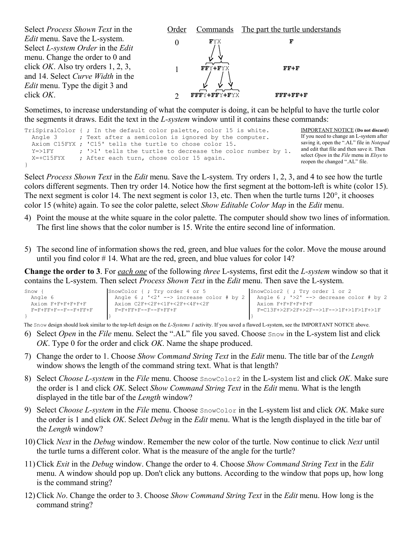

Sometimes, to increase understanding of what the computer is doing, it can be helpful to have the turtle color the segments it draws. Edit the text in the *L-system* window until it contains these commands:

|               | TriSpiralColor {; In the default color palette, color 15 is white. | <b>IMPORTANT NOTICE</b> (Do not discard)                                                        |
|---------------|--------------------------------------------------------------------|-------------------------------------------------------------------------------------------------|
|               | Angle 3 ; Text after a semicolon is ignored by the computer.       | If you need to change an L-system after                                                         |
|               | Axiom C15FYX ; 'C15' tells the turtle to chose color 15.           | saving it, open the ".AL" file in Notepad                                                       |
| $Y = > 1$ FY  | ; '>1' tells the turtle to decrease the color number by 1.         | and edit that file and then save it. Then                                                       |
| $X = +C15FYX$ | ; After each turn, chose color 15 again.                           | select <i>Open</i> in the <i>File</i> menu in <i>Elsys</i> to<br>reopen the changed ".AL" file. |
|               |                                                                    |                                                                                                 |

Select *Process Shown Text* in the *Edit* menu. Save the L-system. Try orders 1, 2, 3, and 4 to see how the turtle colors different segments. Then try order 14. Notice how the first segment at the bottom-left is white (color 15). The next segment is color 14. The next segment is color 13, etc. Then when the turtle turns 120°, it chooses color 15 (white) again. To see the color palette, select *Show Editable Color Map* in the *Edit* menu.

- 4) Point the mouse at the white square in the color palette. The computer should show two lines of information. The first line shows that the color number is 15. Write the entire second line of information.
- 5) The second line of information shows the red, green, and blue values for the color. Move the mouse around until you find color # 14. What are the red, green, and blue values for color 14?

**Change the order to 3**. For *each one* of the following *three* L-systems, first edit the *L-system* window so that it contains the L-system. Then select *Process Shown Text* in the *Edit* menu. Then save the L-system.

| Snow                                    | SnowColor { ; Try order 4 or 5                         | SnowColor2 { ; Try order 1 or 2           |
|-----------------------------------------|--------------------------------------------------------|-------------------------------------------|
| Angle 6                                 | Angle 6 ; $\langle 2' - \rangle$ increase color # by 2 | Angle $6: '2' -- >$ decrease color # by 2 |
| Axiom F+F+F+F+F+F                       | Axiom C2F+<2F+<1F+<2F+<4F+<2F                          | Axiom F+F+F+F+F+F                         |
| $F = F + F F + F - - F - - F + F F + F$ | 下一下十下下十下一一下一一下十下下十下                                    | F=C13F+>2F>2F+>2F-->1F-->1F+>1F>1F+>1F    |
|                                         |                                                        |                                           |

The Snow design should look similar to the top-left design on the *L-Systems 1* activity. If you saved a flawed L-system, see the IMPORTANT NOTICE above.

- 6) Select *Open* in the *File* menu. Select the ".AL" file you saved. Choose Snow in the L-system list and click *OK*. Type 0 for the order and click *OK*. Name the shape produced.
- 7) Change the order to 1. Choose *Show Command String Text* in the *Edit* menu. The title bar of the *Length* window shows the length of the command string text. What is that length?
- 8) Select *Choose L-system* in the *File* menu. Choose SnowColor2 in the L-system list and click *OK*. Make sure the order is 1 and click *OK*. Select *Show Command String Text* in the *Edit* menu. What is the length displayed in the title bar of the *Length* window?
- 9) Select *Choose L-system* in the *File* menu. Choose SnowColor in the L-system list and click *OK*. Make sure the order is 1 and click *OK*. Select *Debug* in the *Edit* menu. What is the length displayed in the title bar of the *Length* window?
- 10) Click *Next* in the *Debug* window. Remember the new color of the turtle. Now continue to click *Next* until the turtle turns a different color. What is the measure of the angle for the turtle?
- 11) Click *Exit* in the *Debug* window. Change the order to 4. Choose *Show Command String Text* in the *Edit* menu. A window should pop up. Don't click any buttons. According to the window that pops up, how long is the command string?
- 12) Click *No*. Change the order to 3. Choose *Show Command String Text* in the *Edit* menu. How long is the command string?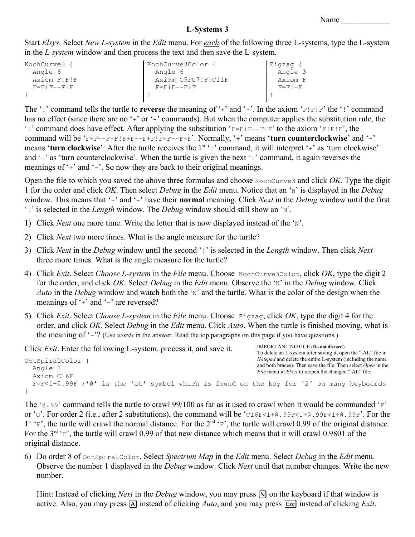IMPORTANT NOTICE (**Do not discard**)

# **L-Systems 3**

Start *Elsys*. Select *New L-system* in the *Edit* menu. For *each* of the following three L-systems, type the L-system in the *L-system* window and then process the text and then save the L-system.

| KochCurve3  | KochCurve3Color       | Zigzag {      |
|-------------|-----------------------|---------------|
| Angle 6     | Angle 6               | Angle 3       |
| Axiom F!F!F | Axiom C5FC7!F!C11F    | Axiom F       |
| 下一下十下一一下十下  | $F = F + F - - F + F$ | $F = F I - F$ |
|             |                       |               |

The '!' command tells the turtle to **reverse** the meaning of '+' and '-'. In the axiom 'F!F!F' the '!' command has no effect (since there are no '+' or '-' commands). But when the computer applies the substitution rule, the '!' command does have effect. After applying the substitution ' $F=F+F--F+F'$ ' to the axiom ' $F!F!F'$ , the command will be 'F+F--F+F!F+F--F+F!F+F--F+F'. Normally, '**+**' means '**turn counterclockwise**' and '**-**' means '**turn clockwise**'. After the turtle receives the 1<sup>st</sup>!' command, it will interpret '+' as 'turn clockwise' and '-' as 'turn counterclockwise'. When the turtle is given the next '!' command, it again reverses the meanings of '+' and '-'. So now they are back to their original meanings.

Open the file to which you saved the above three formulas and choose KochCurve3 and click *OK*. Type the digit 1 for the order and click *OK*. Then select *Debug* in the *Edit* menu. Notice that an 'N' is displayed in the *Debug* window. This means that '<sup>+</sup>' and '-' have their **normal** meaning. Click *Next* in the *Debug* window until the first '!' is selected in the *Length* window. The *Debug* window should still show an 'N'.

- 1) Click *Next* one more time. Write the letter that is now displayed instead of the 'N'.
- 2) Click *Next* two more times. What is the angle measure for the turtle?
- 3) Click *Next* in the *Debug* window until the second '!' is selected in the *Length* window. Then click *Next* three more times. What is the angle measure for the turtle?
- 4) Click *Exit*. Select *Choose L-system* in the *File* menu. Choose KochCurve3Color, click *OK*, type the digit 2 for the order, and click *OK*. Select *Debug* in the *Edit* menu. Observe the 'N' in the *Debug* window. Click *Auto* in the *Debug* window and watch both the 'N' and the turtle. What is the color of the design when the meanings of '+' and '-' are reversed?
- 5) Click *Exit*. Select *Choose L-system* in the *File* menu. Choose Zigzag, click *OK*, type the digit 4 for the order, and click *OK*. Select *Debug* in the *Edit* menu. Click *Auto*. When the turtle is finished moving, what is the meaning of '-'? (Use *words* in the answer. Read the top paragraphs on this page if you have questions.)

Click *Exit*. Enter the following L-system, process it, and save it.

```
OctSpiralColor {
   Angle 8
   Axiom C16F
   F=F<1+@.99F ;'@' is the 'at' symbol which is found on the key for '2' on many keyboards
}
                                                                                    To delete an L-system after saving it, open the ".AL" file in 
                                                                                    Notepad and delete the entire L-system (including the name 
                                                                                    and both braces). Then save the file. Then select Open in the 
                                                                                    File menu in Elsys to reopen the changed ".AL" file.
```
The ' $\theta$ .99' command tells the turtle to crawl 99/100 as far as it used to crawl when it would be commanded 'F' or 'G'. For order 2 (i.e., after 2 substitutions), the command will be 'C16F<1+@.99F<1+@.99F<1+@.99F'. For the  $1^{st}$  'F', the turtle will crawl the normal distance. For the  $2^{nd}$  'F', the turtle will crawl 0.99 of the original distance. For the  $3^{rd}$  'F', the turtle will crawl 0.99 of that new distance which means that it will crawl 0.9801 of the original distance.

6) Do order 8 of OctSpiralColor. Select *Spectrum Map* in the *Edit* menu. Select *Debug* in the *Edit* menu. Observe the number 1 displayed in the *Debug* window. Click *Next* until that number changes. Write the new number.

Hint: Instead of clicking *Next* in the *Debug* window, you may press  $[N]$  on the keyboard if that window is active. Also, you may press A instead of clicking *Auto*, and you may press **[Esc]** instead of clicking *Exit*.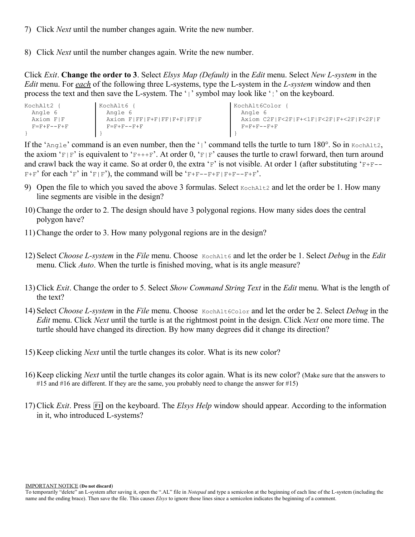- 7) Click *Next* until the number changes again. Write the new number.
- 8) Click *Next* until the number changes again. Write the new number.

Click *Exit*. **Change the order to 3**. Select *Elsys Map (Default)* in the *Edit* menu. Select *New L-system* in the *Edit* menu. For *each* of the following three L-systems, type the L-system in the *L-system* window and then process the text and then save the L-system. The '|' symbol may look like '¦' on the keyboard.

| KochAlt2 {          | KochAlt6                   | KochAlt6Color                          |
|---------------------|----------------------------|----------------------------------------|
| Angle 6             | Angle 6                    | Angle 6                                |
| Axiom FIF           | Axiom F FF F+F FF F+F FF F | Axiom C2F F<2F F+<1F F<2F F+<2F F<2F F |
| $F = F + F - F + F$ | $F = F + F - F + F$        | $F = F + F - F + F$                    |
|                     |                            |                                        |

If the 'Angle' command is an even number, then the '|' command tells the turtle to turn 180°. So in KochAlt2, the axiom 'F|F' is equivalent to 'F+++F'. At order 0, 'F|F' causes the turtle to crawl forward, then turn around and crawl back the way it came. So at order 0, the extra 'F' is not visible. At order 1 (after substituting 'F+F--  $F+F'$  for each 'F' in 'F|F'), the command will be 'F+F--F+F|F+F--F+F'.

- 9) Open the file to which you saved the above 3 formulas. Select Kochaltz and let the order be 1. How many line segments are visible in the design?
- 10) Change the order to 2. The design should have 3 polygonal regions. How many sides does the central polygon have?
- 11) Change the order to 3. How many polygonal regions are in the design?
- 12) Select *Choose L-system* in the *File* menu. Choose KochAlt6 and let the order be 1. Select *Debug* in the *Edit* menu. Click *Auto*. When the turtle is finished moving, what is its angle measure?
- 13) Click *Exit*. Change the order to 5. Select *Show Command String Text* in the *Edit* menu. What is the length of the text?
- 14) Select *Choose L-system* in the *File* menu. Choose KochAlt6Color and let the order be 2. Select *Debug* in the *Edit* menu. Click *Next* until the turtle is at the rightmost point in the design. Click *Next* one more time. The turtle should have changed its direction. By how many degrees did it change its direction?
- 15) Keep clicking *Next* until the turtle changes its color. What is its new color?
- 16) Keep clicking *Next* until the turtle changes its color again. What is its new color? (Make sure that the answers to #15 and #16 are different. If they are the same, you probably need to change the answer for #15)
- 17) Click *Exit*. Press  $\overline{F1}$  on the keyboard. The *Elsys Help* window should appear. According to the information in it, who introduced L-systems?

IMPORTANT NOTICE (**Do not discard**)

To temporarily "delete" an L-system after saving it, open the ".AL" file in *Notepad* and type a semicolon at the beginning of each line of the L-system (including the name and the ending brace). Then save the file. This causes *Elsys* to ignore those lines since a semicolon indicates the beginning of a comment.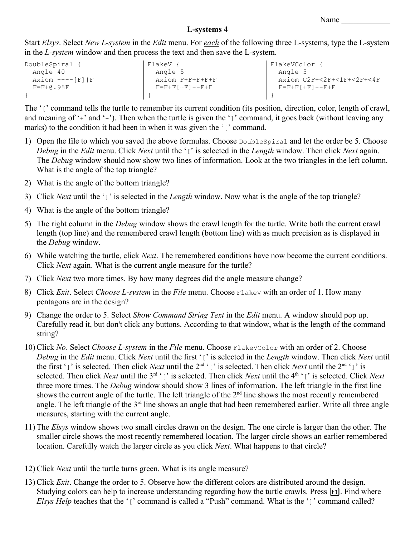## **L-systems 4**

Start *Elsys*. Select *New L-system* in the *Edit* menu. For *each* of the following three L-systems, type the L-system in the *L-system* window and then process the text and then save the L-system.

| DoubleSpiral {    | FlakeV                      | FlakeVColor                 |
|-------------------|-----------------------------|-----------------------------|
| Angle 40          | Angle 5                     | Angle 5                     |
| $Axiom$ ----[F] F | Axiom F+F+F+F+F             | Axiom C2F+<2F+<1F+<2F+<4F   |
| $F = F + 0.98F$   | $F = F + F$ $+ F$ $- F + F$ | $F = F + F + F$   $- F + F$ |
|                   |                             |                             |

The '<sub>['</sub>' command tells the turtle to remember its current condition (its position, direction, color, length of crawl, and meaning of '+' and '-'). Then when the turtle is given the ']' command, it goes back (without leaving any marks) to the condition it had been in when it was given the '[' command.

- 1) Open the file to which you saved the above formulas. Choose DoubleSpiral and let the order be 5. Choose *Debug* in the *Edit* menu. Click *Next* until the '[' is selected in the *Length* window. Then click *Next* again. The *Debug* window should now show two lines of information. Look at the two triangles in the left column. What is the angle of the top triangle?
- 2) What is the angle of the bottom triangle?
- 3) Click *Next* until the ']' is selected in the *Length* window. Now what is the angle of the top triangle?
- 4) What is the angle of the bottom triangle?
- 5) The right column in the *Debug* window shows the crawl length for the turtle. Write both the current crawl length (top line) and the remembered crawl length (bottom line) with as much precision as is displayed in the *Debug* window.
- 6) While watching the turtle, click *Next*. The remembered conditions have now become the current conditions. Click *Next* again. What is the current angle measure for the turtle?
- 7) Click *Next* two more times. By how many degrees did the angle measure change?
- 8) Click *Exit*. Select *Choose L-system* in the *File* menu. Choose FlakeV with an order of 1. How many pentagons are in the design?
- 9) Change the order to 5. Select *Show Command String Text* in the *Edit* menu. A window should pop up. Carefully read it, but don't click any buttons. According to that window, what is the length of the command string?
- 10) Click *No*. Select *Choose L-system* in the *File* menu. Choose FlakeVColor with an order of 2. Choose *Debug* in the *Edit* menu. Click *Next* until the first '[' is selected in the *Length* window. Then click *Next* until the first ']' is selected. Then click *Next* until the  $2^{nd}$  '[' is selected. Then click *Next* until the  $2^{nd}$  ']' is selected. Then click *Next* until the 3<sup>rd</sup> '<sub>[</sub>' is selected. Then click *Next* until the 4<sup>th</sup> '<sub>[</sub>' is selected. Click *Next* three more times. The *Debug* window should show 3 lines of information. The left triangle in the first line shows the current angle of the turtle. The left triangle of the  $2<sup>nd</sup>$  line shows the most recently remembered angle. The left triangle of the 3<sup>rd</sup> line shows an angle that had been remembered earlier. Write all three angle measures, starting with the current angle.
- 11) The *Elsys* window shows two small circles drawn on the design. The one circle is larger than the other. The smaller circle shows the most recently remembered location. The larger circle shows an earlier remembered location. Carefully watch the larger circle as you click *Next*. What happens to that circle?
- 12) Click *Next* until the turtle turns green. What is its angle measure?
- 13) Click *Exit*. Change the order to 5. Observe how the different colors are distributed around the design. Studying colors can help to increase understanding regarding how the turtle crawls. Press [F1]. Find where *Elsys Help* teaches that the '[' command is called a "Push" command. What is the ']' command called?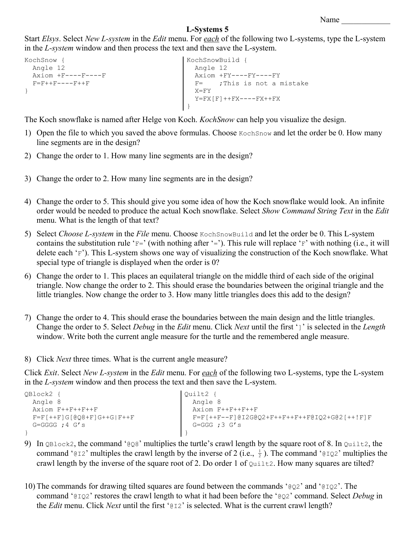```
Name
```
Start *Elsys*. Select *New L-system* in the *Edit* menu. For *each* of the following two L-systems, type the L-system in the *L-system* window and then process the text and then save the L-system.

```
KochSnow { 
    Angle 12
    Axiom +F----F----F
   \textbf{F} \text{=} \textbf{F} \textbf{+} \textbf{+} \textbf{F} \textbf{-} \textbf{-} \textbf{-} \textbf{F} \textbf{+} \textbf{+} \textbf{F}}
                                                                          KochSnowBuild { 
                                                                              Angle 12
                                                                              Axiom +FY----FY----FY
                                                                             F= ;This is not a mistake
                                                                           X = FYY=FX[F]++FX----FX++FX}
```
The Koch snowflake is named after Helge von Koch. *KochSnow* can help you visualize the design.

- 1) Open the file to which you saved the above formulas. Choose KochSnow and let the order be 0. How many line segments are in the design?
- 2) Change the order to 1. How many line segments are in the design?
- 3) Change the order to 2. How many line segments are in the design?
- 4) Change the order to 5. This should give you some idea of how the Koch snowflake would look. An infinite order would be needed to produce the actual Koch snowflake. Select *Show Command String Text* in the *Edit* menu. What is the length of that text?
- 5) Select *Choose L-system* in the *File* menu. Choose KochSnowBuild and let the order be 0. This L-system contains the substitution rule 'F=' (with nothing after '='). This rule will replace 'F' with nothing (i.e., it will delete each 'F'). This L-system shows one way of visualizing the construction of the Koch snowflake. What special type of triangle is displayed when the order is 0?
- 6) Change the order to 1. This places an equilateral triangle on the middle third of each side of the original triangle. Now change the order to 2. This should erase the boundaries between the original triangle and the little triangles. Now change the order to 3. How many little triangles does this add to the design?
- 7) Change the order to 4. This should erase the boundaries between the main design and the little triangles. Change the order to 5. Select *Debug* in the *Edit* menu. Click *Next* until the first ']' is selected in the *Length* window. Write both the current angle measure for the turtle and the remembered angle measure.
- 8) Click *Next* three times. What is the current angle measure?

Click *Exit*. Select *New L-system* in the *Edit* menu. For *each* of the following two L-systems, type the L-system in the *L-system* window and then process the text and then save the L-system.

```
QBlock2 {
  Angle 8
  Axiom F++F++F++F
   F=F[++F]G[@Q8+F]G++G|F++F
   G=GGGG ;4 G's
}
                                         Quilt2 {
                                           Angle 8
                                           Axiom F++F++F++F
                                           F=F[++F--F]@I2G@Q2+F++F++F++F@IQ2+G@2[++!F]F
                                           G=GGG :3 G's
                                         }
```
- 9) In QBlock2, the command '@Q8' multiplies the turtle's crawl length by the square root of 8. In Quilt2, the command '@I2' multiples the crawl length by the inverse of 2 (i.e.,  $\frac{1}{2}$ ). The command '@IQ2' multiplies the crawl length by the inverse of the square root of 2. Do order 1 of  $\text{Quilt2}$ . How many squares are tilted?
- 10) The commands for drawing tilted squares are found between the commands ' $Q_2$ ' and ' $Q_1Q_2$ '. The command '@IQ2' restores the crawl length to what it had been before the '@Q2' command. Select *Debug* in the *Edit* menu. Click *Next* until the first '@I2' is selected. What is the current crawl length?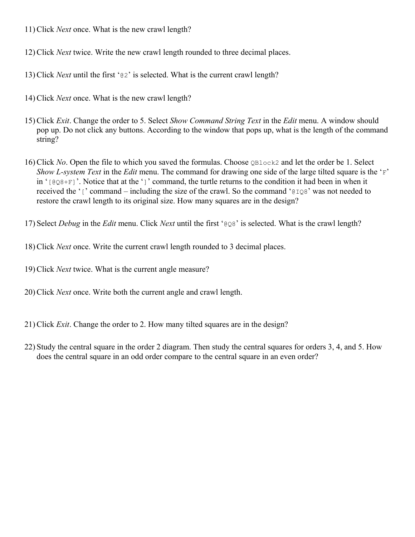- 11) Click *Next* once. What is the new crawl length?
- 12) Click *Next* twice. Write the new crawl length rounded to three decimal places.
- 13) Click *Next* until the first '@2' is selected. What is the current crawl length?
- 14) Click *Next* once. What is the new crawl length?
- 15) Click *Exit*. Change the order to 5. Select *Show Command String Text* in the *Edit* menu. A window should pop up. Do not click any buttons. According to the window that pops up, what is the length of the command string?
- 16) Click *No*. Open the file to which you saved the formulas. Choose QBlock2 and let the order be 1. Select *Show L-system Text* in the *Edit* menu. The command for drawing one side of the large tilted square is the 'F' in ' $[QQ8+F]$ '. Notice that at the ']' command, the turtle returns to the condition it had been in when it received the '[' command – including the size of the crawl. So the command '@IQ8' was not needed to restore the crawl length to its original size. How many squares are in the design?

17) Select *Debug* in the *Edit* menu. Click *Next* until the first '@Q8' is selected. What is the crawl length?

- 18) Click *Next* once. Write the current crawl length rounded to 3 decimal places.
- 19) Click *Next* twice. What is the current angle measure?
- 20) Click *Next* once. Write both the current angle and crawl length.
- 21) Click *Exit*. Change the order to 2. How many tilted squares are in the design?
- 22) Study the central square in the order 2 diagram. Then study the central squares for orders 3, 4, and 5. How does the central square in an odd order compare to the central square in an even order?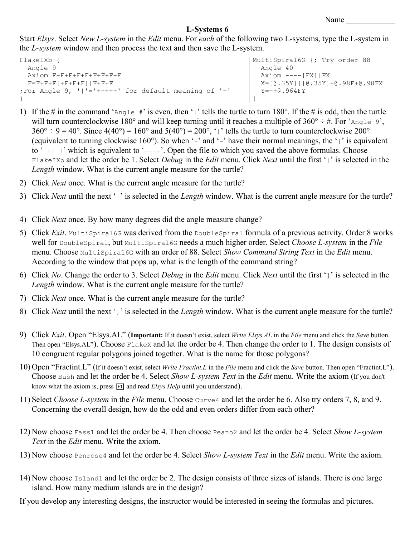```
Name \qquad \qquad \qquad
```
Start *Elsys*. Select *New L-system* in the *Edit* menu. For *each* of the following two L-systems, type the L-system in the *L-system* window and then process the text and then save the L-system.

```
FlakeIXb {
  Angle 9
  Axiom F+F+F+F+F+F+F+F+F
  F=F+F+F[F+F+F+F]|F+F+F
;For Angle 9, '|'='+++++' for default meaning of '+'
}
                                                           MultiSpiral6G {; Try order 88
                                                              Angle 40
                                                             Axiom ---[FX]|FX X=[@.35Y][|@.35Y]+@.98F+@.98FX
                                                             Y=++@.964FY
                                                           }
```
- 1) If the # in the command 'Angle  $\#$ ' is even, then '|' tells the turtle to turn 180°. If the # is odd, then the turtle will turn counterclockwise 180° and will keep turning until it reaches a multiple of  $360^{\circ} \div \text{\#}$ . For 'Angle 9',  $360^\circ \div 9 = 40^\circ$ . Since  $4(40^\circ) = 160^\circ$  and  $5(40^\circ) = 200^\circ$ , '|' tells the turtle to turn counterclockwise  $200^\circ$ (equivalent to turning clockwise 160°). So when '+' and '-' have their normal meanings, the '|' is equivalent to '+++++' which is equivalent to '----'. Open the file to which you saved the above formulas. Choose FlakeIXb and let the order be 1. Select *Debug* in the *Edit* menu. Click *Next* until the first '|' is selected in the *Length* window. What is the current angle measure for the turtle?
- 2) Click *Next* once. What is the current angle measure for the turtle?
- 3) Click *Next* until the next '|' is selected in the *Length* window. What is the current angle measure for the turtle?
- 4) Click *Next* once. By how many degrees did the angle measure change?
- 5) Click *Exit*. MultiSpiral6G was derived from the DoubleSpiral formula of a previous activity. Order 8 works well for DoubleSpiral, but MultiSpiral6G needs a much higher order. Select *Choose L-system* in the *File* menu. Choose MultiSpiral6G with an order of 88. Select *Show Command String Text* in the *Edit* menu. According to the window that pops up, what is the length of the command string?
- 6) Click *No*. Change the order to 3. Select *Debug* in the *Edit* menu. Click *Next* until the first ']' is selected in the *Length* window. What is the current angle measure for the turtle?
- 7) Click *Next* once. What is the current angle measure for the turtle?
- 8) Click *Next* until the next ']' is selected in the *Length* window. What is the current angle measure for the turtle?
- 9) Click *Exit*. Open "Elsys.AL" (**Important:** If it doesn't exist, select *Write Elsys.AL* in the *File* menu and click the *Save* button. Then open "Elsys.AL"). Choose FlakeX and let the order be 4. Then change the order to 1. The design consists of 10 congruent regular polygons joined together. What is the name for those polygons?
- 10) Open "Fractint.L" (If it doesn't exist, select *Write Fractint.L* in the *File* menu and click the *Save* button. Then open "Fractint.L"). Choose Bush and let the order be 4. Select *Show L-system Text* in the *Edit* menu. Write the axiom (If you don't know what the axiom is, press **F1** and read *Elsys Help* until you understand).
- 11) Select *Choose L-system* in the *File* menu. Choose Curve4 and let the order be 6. Also try orders 7, 8, and 9. Concerning the overall design, how do the odd and even orders differ from each other?
- 12) Now choose Fass1 and let the order be 4. Then choose Peano2 and let the order be 4. Select *Show L-system Text* in the *Edit* menu. Write the axiom.
- 13) Now choose Penrose4 and let the order be 4. Select *Show L-system Text* in the *Edit* menu. Write the axiom.
- 14) Now choose Island1 and let the order be 2. The design consists of three sizes of islands. There is one large island. How many medium islands are in the design?

If you develop any interesting designs, the instructor would be interested in seeing the formulas and pictures.